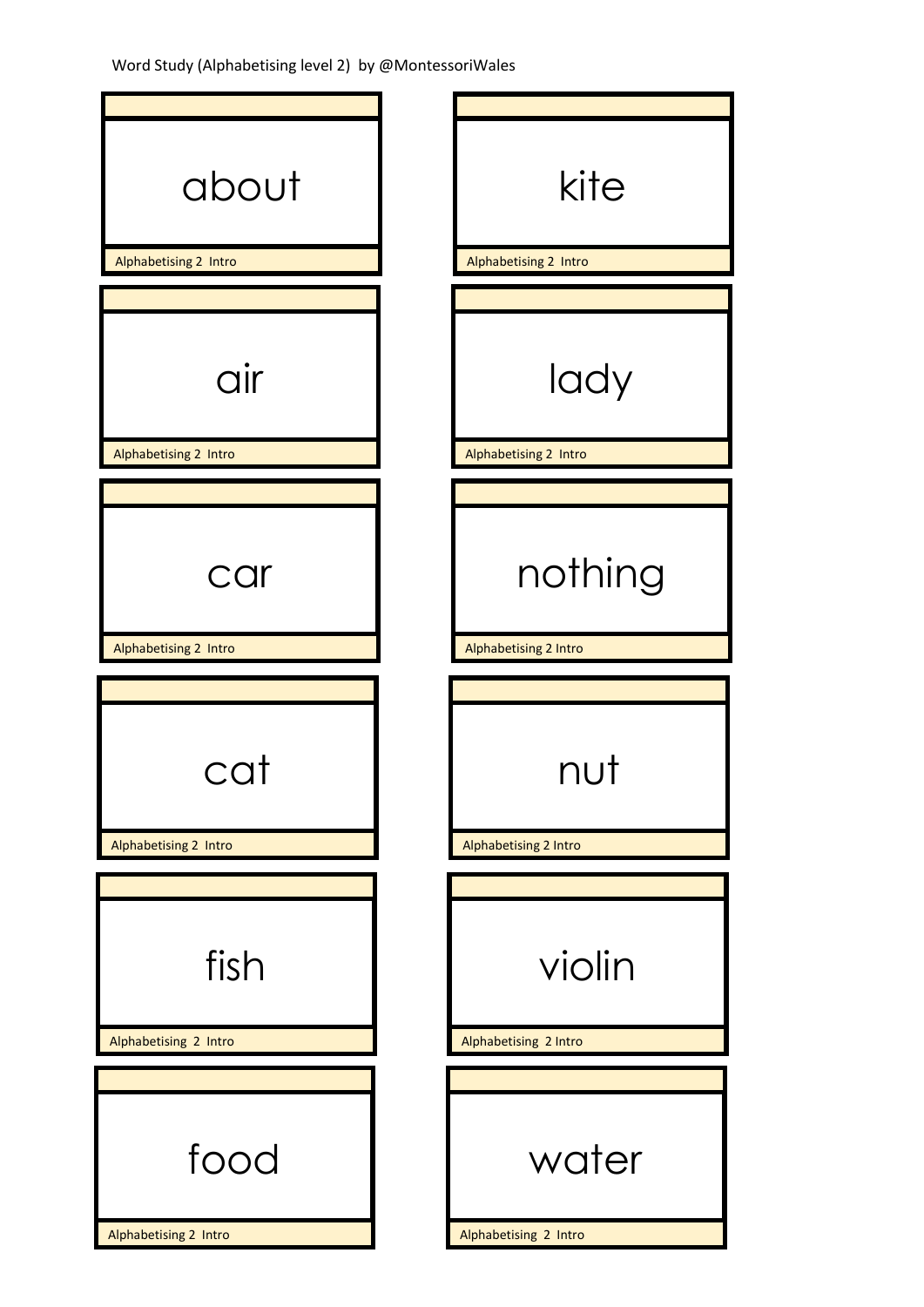Word Study (Alphabetising level 2) by @MontessoriWales

| about                         | kite                            |
|-------------------------------|---------------------------------|
| Alphabetising 2 Intro         | Alphabetising 2 Intro           |
|                               |                                 |
| air                           | lady                            |
| Alphabetising 2 Intro         | Alphabetising 2 Intro           |
|                               |                                 |
| car                           | nothing                         |
| Alphabetising 2 Intro         | Alphabetising 2 Intro           |
|                               |                                 |
| cat                           | nut                             |
| Alphabetising 2 Intro         | <b>Alphabetising 2 Intro</b>    |
|                               |                                 |
| fish<br>Alphabetising 2 Intro | violin<br>Alphabetising 2 Intro |
|                               |                                 |
| food<br>Alphabetising 2 Intro | water<br>Alphabetising 2 Intro  |
|                               |                                 |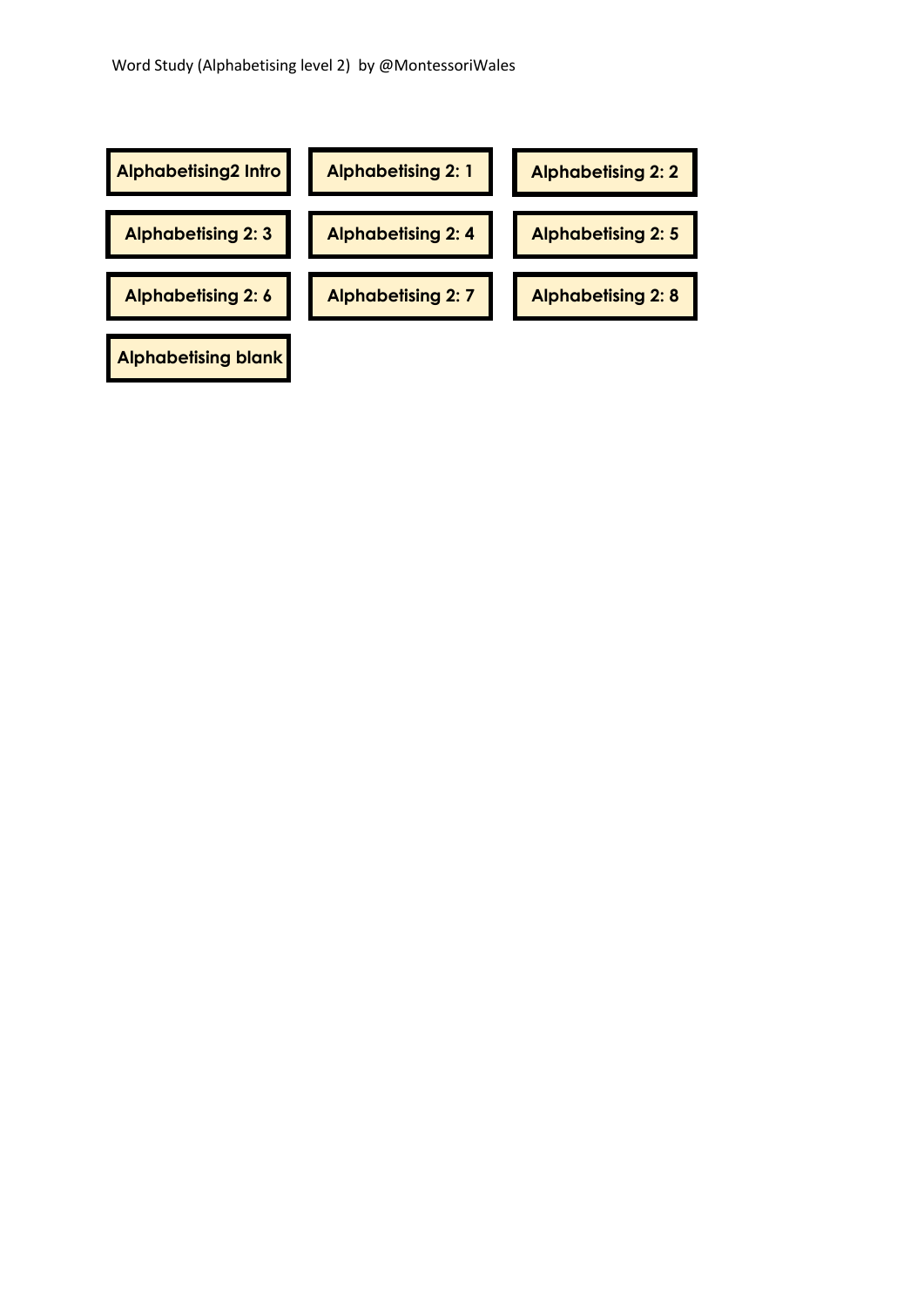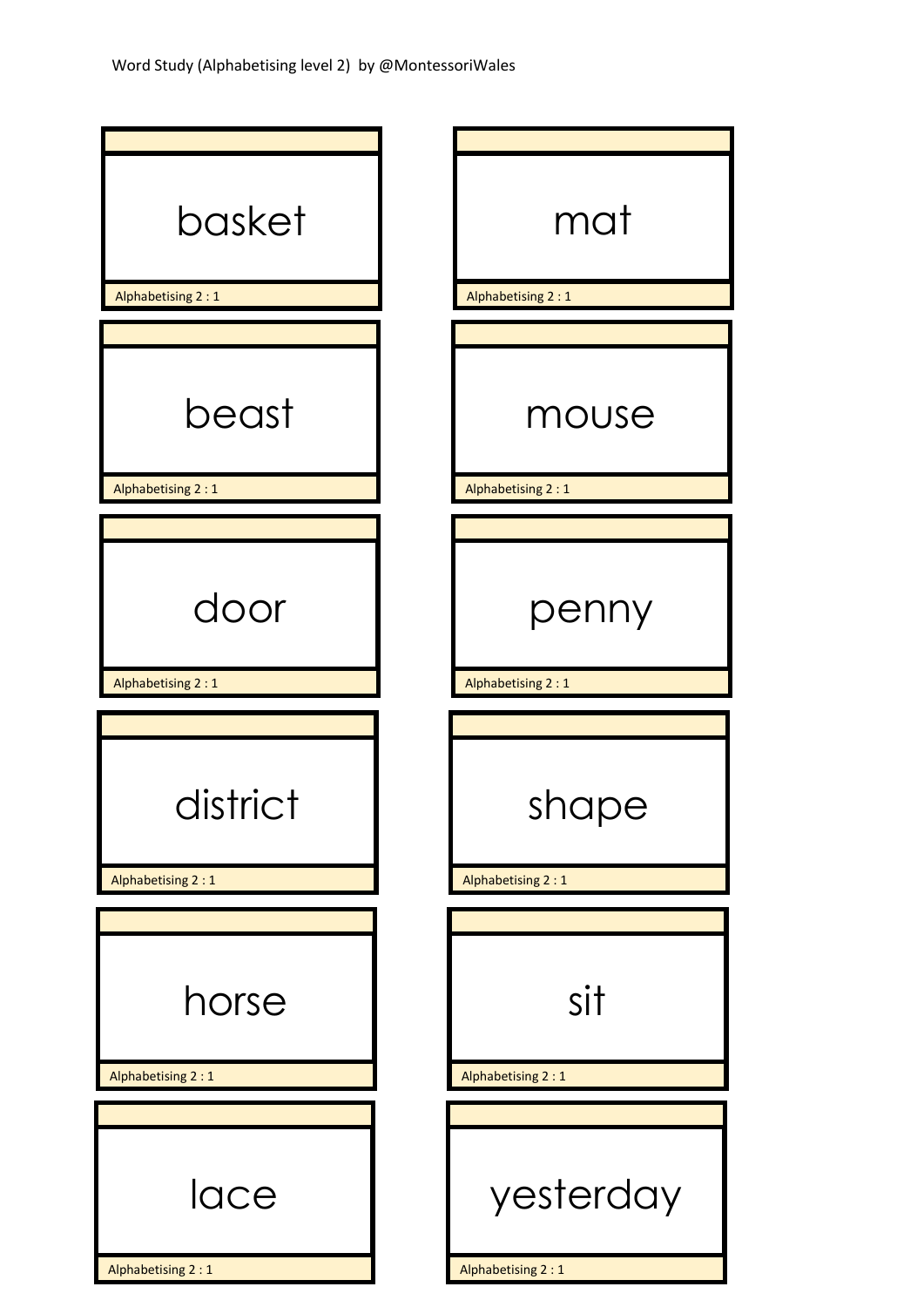| basket<br>Alphabetising 2 : 1 | mat<br>Alphabetising 2:1   |
|-------------------------------|----------------------------|
|                               |                            |
| beast<br>Alphabetising 2:1    | mouse<br>Alphabetising 2:1 |
|                               |                            |
| door<br>Alphabetising 2:1     | penny<br>Alphabetising 2:1 |
|                               |                            |
| district<br>Alphabetising 2:1 | shape<br>Alphabetising 2:1 |
|                               |                            |
| horse                         | sit                        |
| Alphabetising 2:1             | Alphabetising 2:1          |
|                               |                            |
| lace                          | yesterday                  |
| Alphabetising 2:1             | Alphabetising 2 : 1        |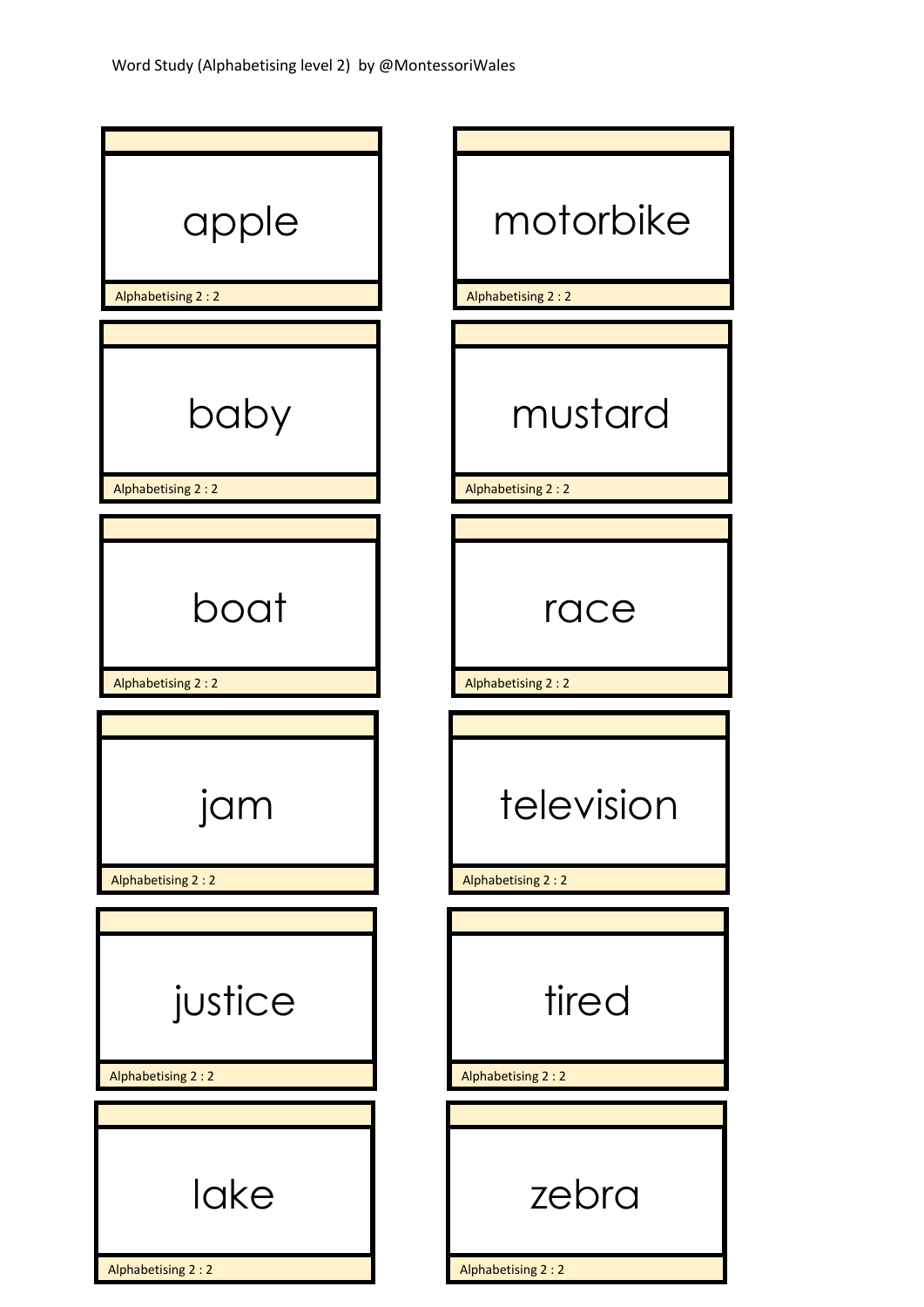| apple<br>Alphabetising 2:2   | motorbike<br>Alphabetising 2:2  |
|------------------------------|---------------------------------|
|                              |                                 |
| baby<br>Alphabetising 2:2    | mustard<br>Alphabetising 2:2    |
|                              |                                 |
| boat                         | race                            |
| Alphabetising 2 : 2          | Alphabetising 2:2               |
| J<br>.<br>Alphabetising 2:2  | television<br>Alphabetising 2:2 |
| justice<br>Alphabetising 2:2 | tired<br>Alphabetising 2:2      |
|                              |                                 |
| lake<br>Alphabetising 2:2    | zebra<br>Alphabetising 2:2      |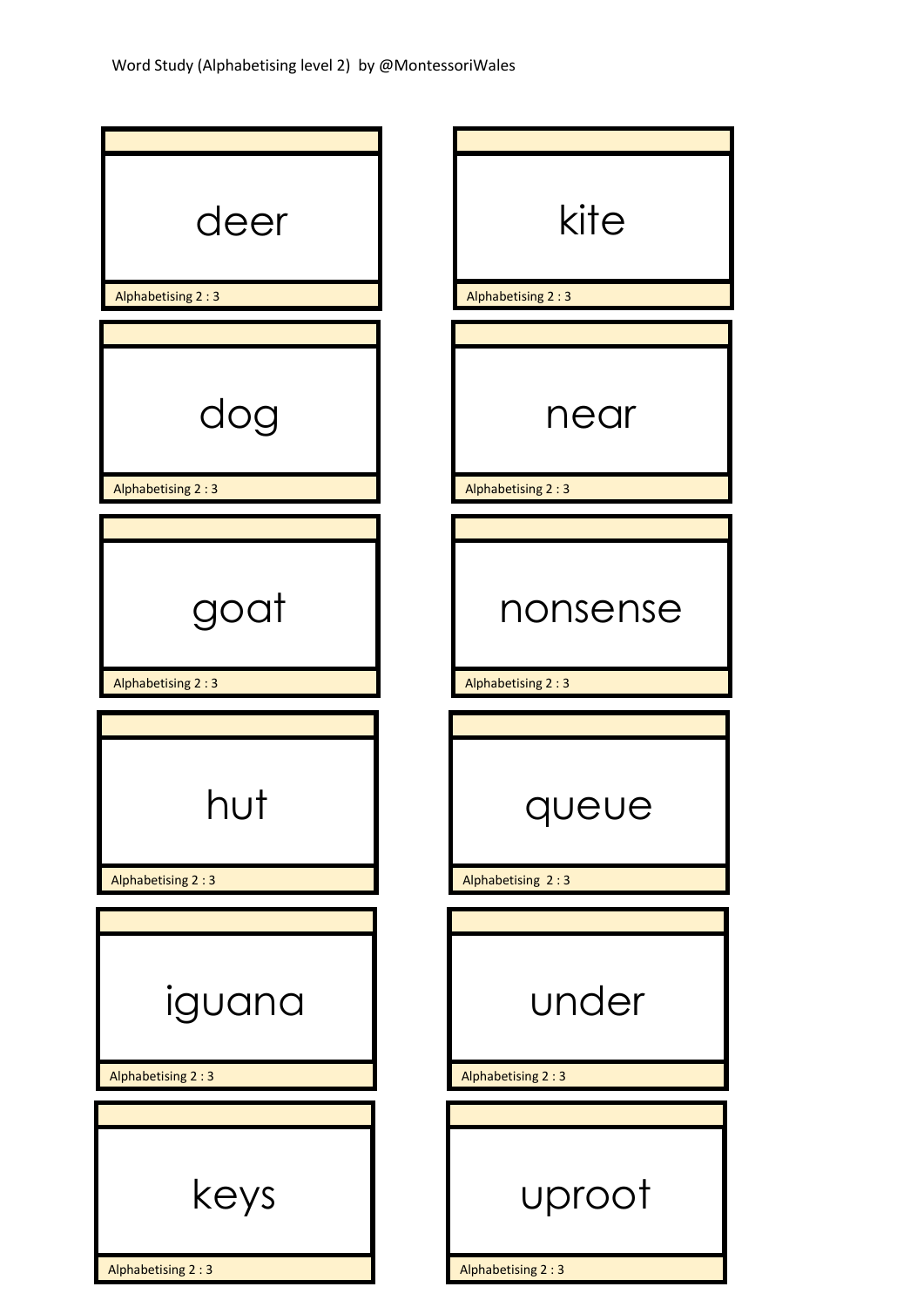| deer<br>Alphabetising 2:3   | kite<br>Alphabetising 2:3   |
|-----------------------------|-----------------------------|
|                             |                             |
| dog<br>Alphabetising 2:3    | near<br>Alphabetising 2:3   |
|                             |                             |
| goat                        | nonsense                    |
| Alphabetising 2:3           | Alphabetising 2:3           |
|                             |                             |
| Alphabetising 2:3           | queue<br>Alphabetising 2:3  |
|                             |                             |
| iguana<br>Alphabetising 2:3 | under<br>Alphabetising 2:3  |
|                             |                             |
| keys                        | uproot<br>Alphabetising 2:3 |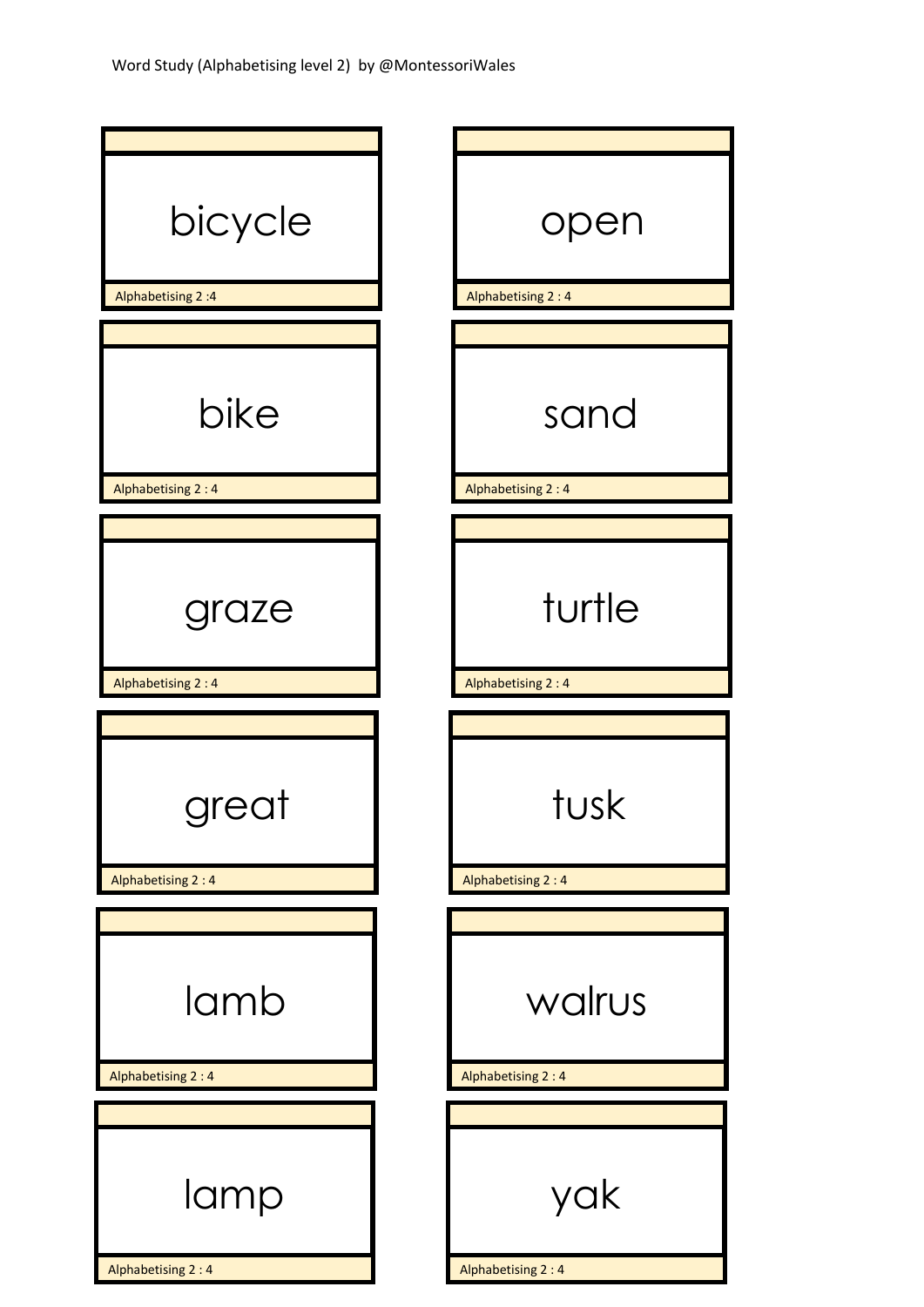| bicycle<br>Alphabetising 2:4 | open<br>Alphabetising 2:4 |
|------------------------------|---------------------------|
|                              |                           |
| bike<br>Alphabetising 2:4    | sand<br>Alphabetising 2:4 |
|                              |                           |
| graze                        | turtle                    |
| Alphabetising 2:4            | Alphabetising 2:4         |
| great<br>Alphabetising 2:4   | tusk<br>Alphabetising 2:4 |
|                              |                           |
| lamb                         | walrus                    |
| Alphabetising 2:4            | Alphabetising 2:4         |
|                              |                           |
| lamp                         | yak                       |
|                              |                           |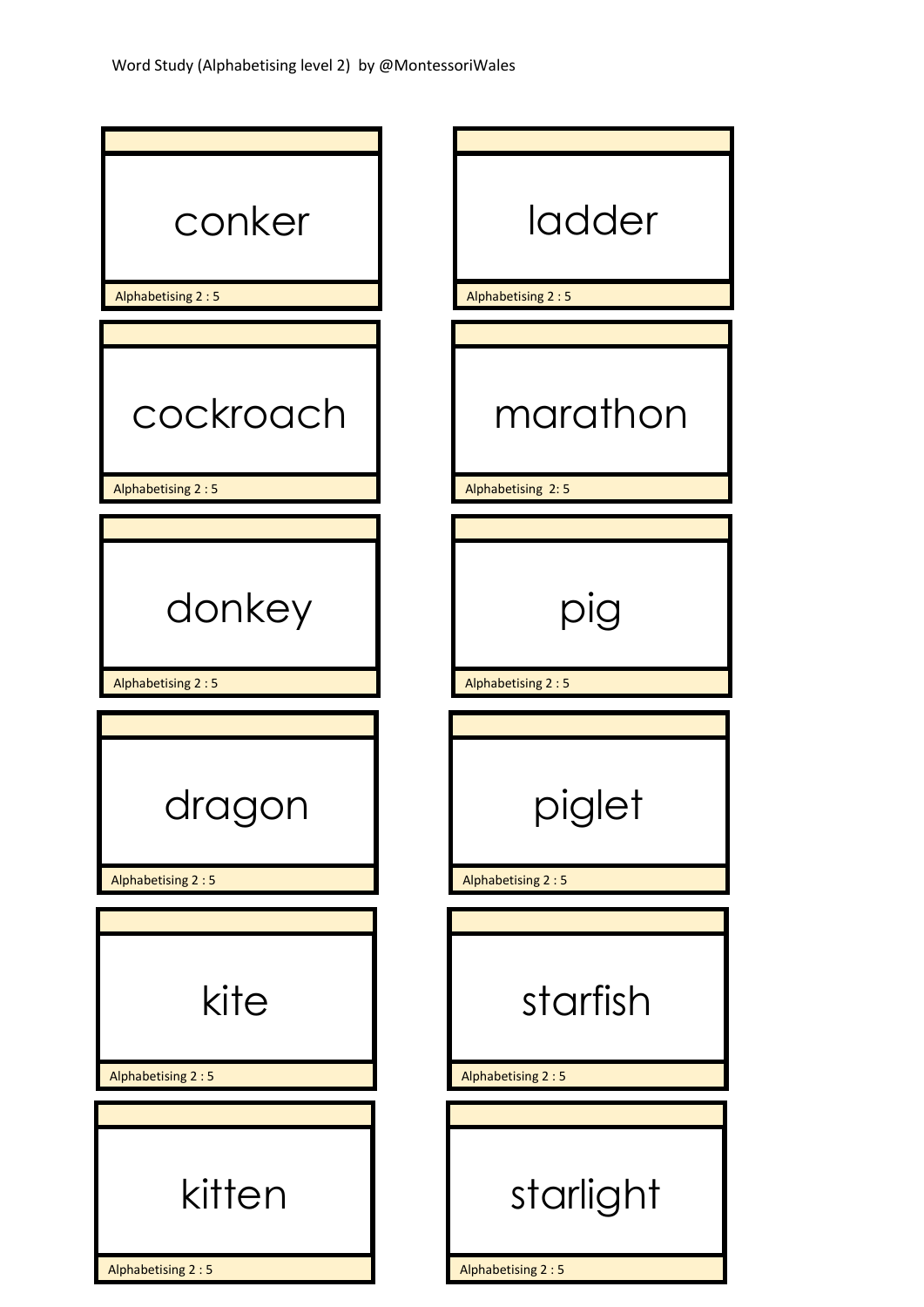| conker                         | ladder                            |
|--------------------------------|-----------------------------------|
| Alphabetising 2:5              | Alphabetising 2:5                 |
|                                |                                   |
| cockroach<br>Alphabetising 2:5 | marathon<br>Alphabetising 2:5     |
|                                |                                   |
| donkey<br>Alphabetising 2:5    | pig<br>Alphabetising 2:5          |
|                                |                                   |
| Alphabetising 2:5              | iglet<br>ド・ご<br>Alphabetising 2:5 |
|                                |                                   |
| kite                           | starfish                          |
| Alphabetising 2:5              | Alphabetising 2:5                 |
| kitten                         | starlight                         |
| Alphabetising 2:5              | Alphabetising 2:5                 |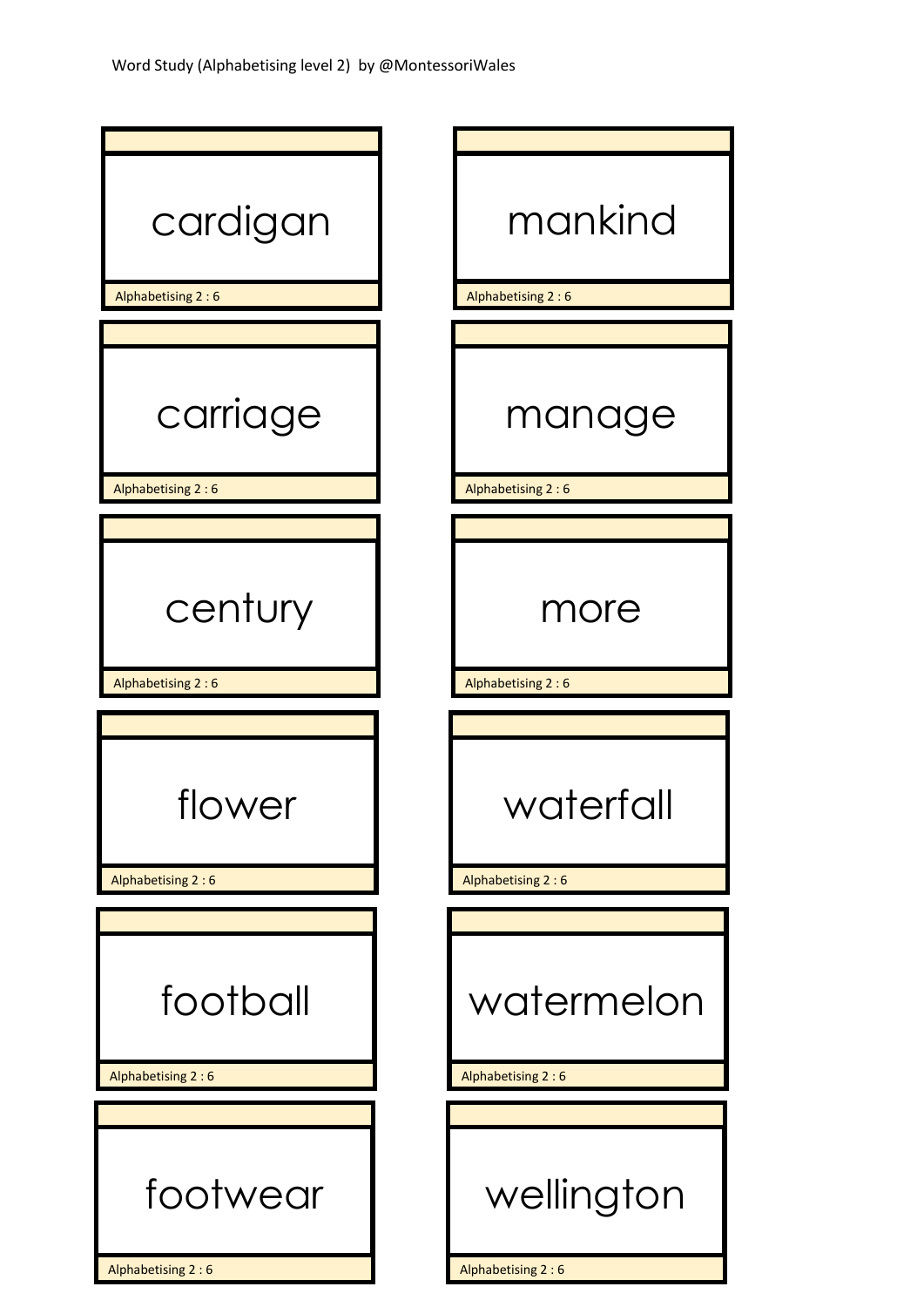| cardigan<br>Alphabetising 2:6 | mankind<br>Alphabetising 2:6   |
|-------------------------------|--------------------------------|
|                               |                                |
| carriage                      | manage                         |
| Alphabetising 2:6             | Alphabetising 2:6              |
|                               |                                |
| century                       | more                           |
| Alphabetising 2:6             | Alphabetising 2:6              |
|                               |                                |
| flower<br>Alphabetising 2:6   | waterfall<br>Alphabetising 2:6 |
|                               |                                |
| football                      | watermelon                     |
| Alphabetising 2:6             | Alphabetising 2:6              |
|                               |                                |
| footwear                      | wellington                     |
| Alphabetising 2:6             | Alphabetising 2:6              |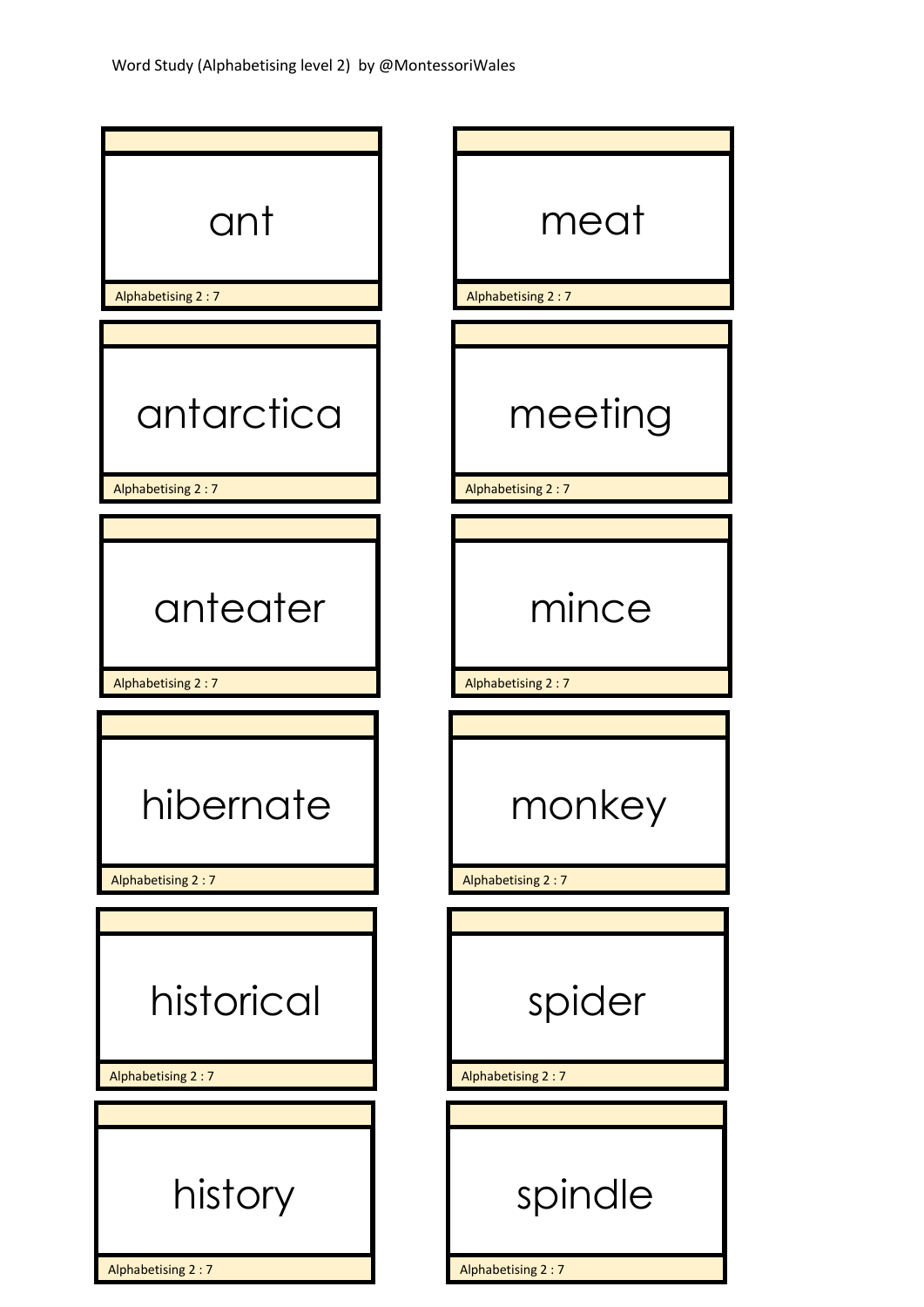| ant                            | meat                          |
|--------------------------------|-------------------------------|
| Alphabetising 2:7              | Alphabetising 2:7             |
|                                |                               |
| antarctica                     | meeting                       |
| Alphabetising 2:7              | Alphabetising 2:7             |
|                                |                               |
| anteater                       | mince                         |
| Alphabetising 2:7              | Alphabetising 2:7             |
|                                |                               |
| hibernate<br>Alphabetising 2:7 | key<br>,<br>Alphabetising 2:7 |
|                                |                               |
| historical                     | spider                        |
| Alphabetising 2:7              | Alphabetising 2:7             |
|                                |                               |
| history                        | spindle                       |
|                                |                               |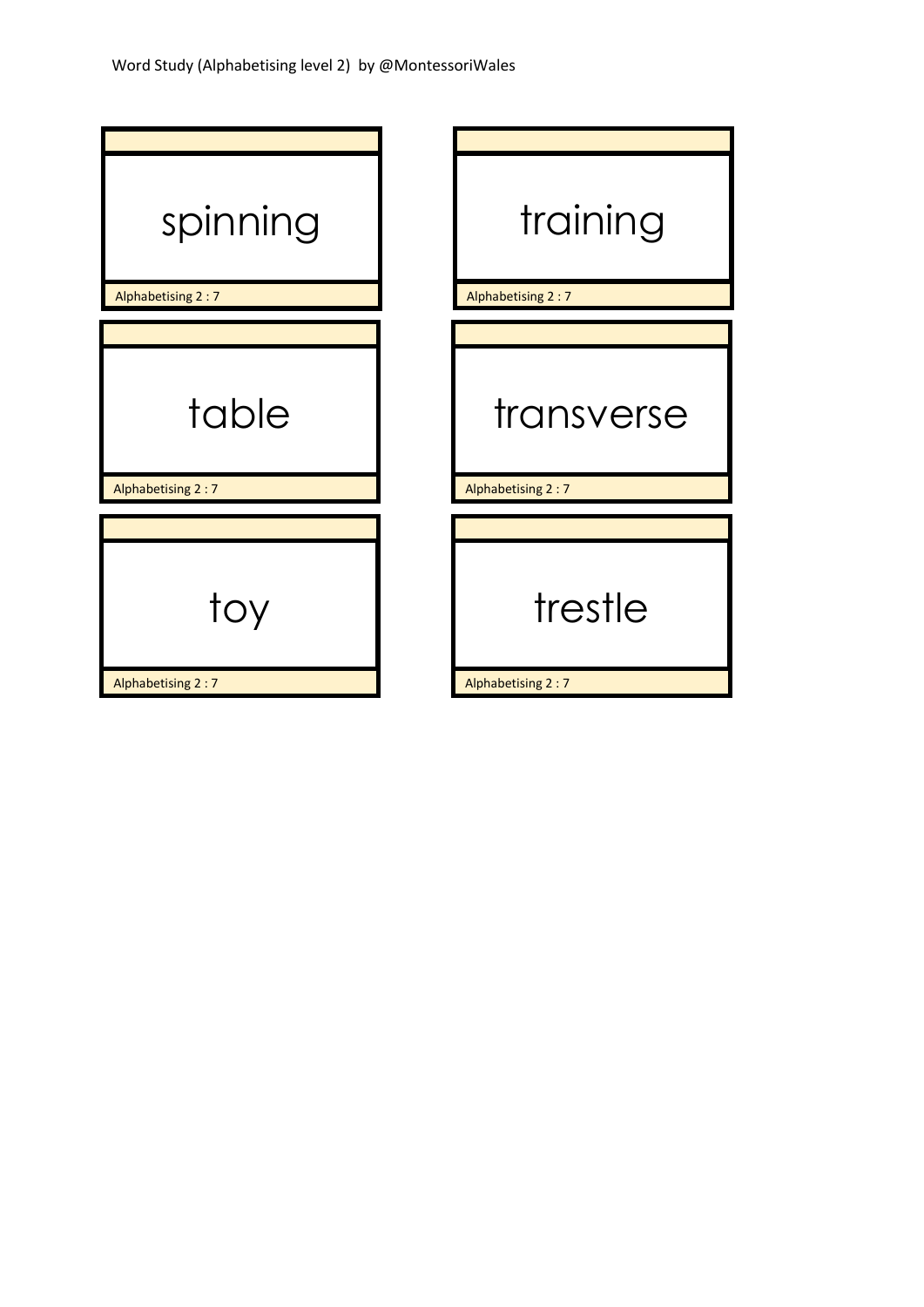| spinning          | training          |
|-------------------|-------------------|
| Alphabetising 2:7 | Alphabetising 2:7 |
|                   |                   |
| table             | transverse        |
| Alphabetising 2:7 | Alphabetising 2:7 |
|                   |                   |
| toy               | trestle           |
| Alphabetising 2:7 | Alphabetising 2:7 |